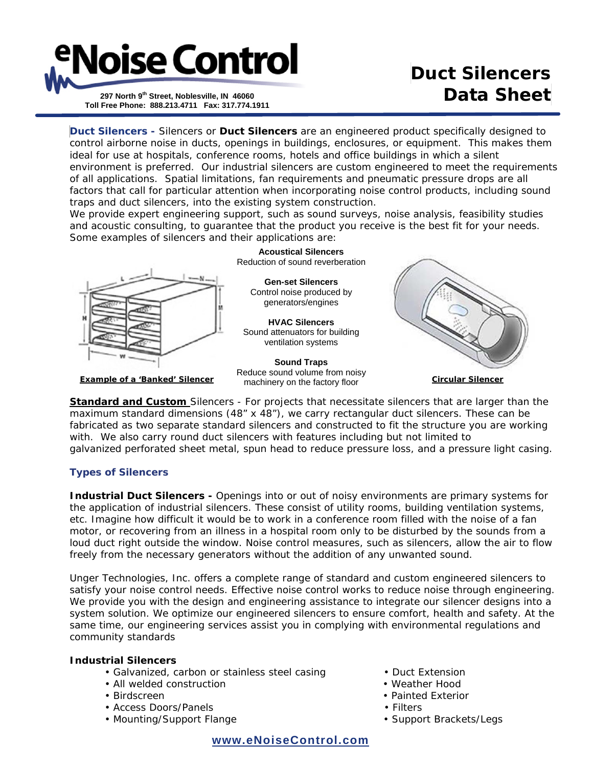# **Noise Control 297 North 9th Street, Noblesville, IN 46060**

**Toll Free Phone: 888.213.4711 Fax: 317.774.1911** 

## **Duct Silencers Data Sheet**

**Duct Silencers -** *Silencers* or **Duct Silencers** are an engineered product specifically designed to control airborne noise in ducts, openings in buildings, enclosures, or equipment. This makes them ideal for use at hospitals, conference rooms, hotels and office buildings in which a silent environment is preferred. Our industrial silencers are custom engineered to meet the requirements of all applications. Spatial limitations, fan requirements and pneumatic pressure drops are all factors that call for particular attention when incorporating noise control products, including sound traps and duct silencers, into the existing system construction.

We provide expert engineering support, such as sound surveys, noise analysis, feasibility studies and acoustic consulting, to guarantee that the product you receive is the best fit for your needs. Some examples of silencers and their applications are:

> **Acoustical Silencers** Reduction of sound reverberation

> > **Gen-set Silencers** Control noise produced by generators/engines



Sound attenuators for building ventilation systems **Sound Traps**

**HVAC Silencers** 

**Example of a 'Banked' Silencer Circular Silencer Circular Silencer Circular Silencer** 

Reduce sound volume from noisy machinery on the factory floor



**Standard and Custom** Silencers - For projects that necessitate silencers that are larger than the maximum standard dimensions (48" x 48"), we carry rectangular duct silencers. These can be fabricated as two separate standard silencers and constructed to fit the structure you are working with. We also carry round duct silencers with features including but not limited to galvanized perforated sheet metal, spun head to reduce pressure loss, and a pressure light casing.

### **Types of Silencers**

**Industrial Duct Silencers -** Openings into or out of noisy environments are primary systems for the application of *industrial silencers*. These consist of utility rooms, building ventilation systems, etc. Imagine how difficult it would be to work in a conference room filled with the noise of a fan motor, or recovering from an illness in a hospital room only to be disturbed by the sounds from a loud duct right outside the window. Noise control measures, such as silencers, allow the air to flow freely from the necessary generators without the addition of any unwanted sound.

Unger Technologies, Inc. offers a complete range of standard and custom engineered silencers to satisfy your noise control needs. Effective noise control works to reduce noise through engineering. We provide you with the design and engineering assistance to integrate our silencer designs into a system solution. We optimize our engineered silencers to ensure comfort, health and safety. At the same time, our engineering services assist you in complying with environmental regulations and community standards

#### **Industrial Silencers**

- Galvanized, carbon or stainless steel casing Duct Extension
- All welded construction  **Weather Hood**
- 
- Access Doors/Panels Filters
- Mounting/Support Flange  **Support Brackets/Legs** Support Brackets/Legs
- 
- 
- Birdscreen Painted Exterior
	-
	-